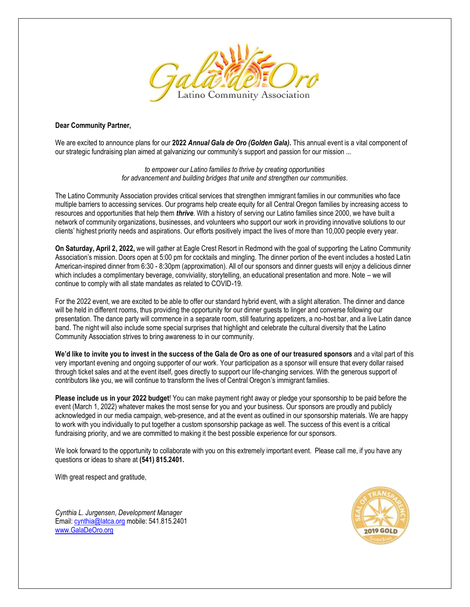

#### **Dear Community Partner,**

We are excited to announce plans for our **2022** *Annual Gala de Oro (Golden Gala)***.** This annual event is a vital component of our strategic fundraising plan aimed at galvanizing our community's support and passion for our mission ...

> *to empower our Latino families to thrive by creating opportunities for advancement and building bridges that unite and strengthen our communities.*

The Latino Community Association provides critical services that strengthen immigrant families in our communities who face multiple barriers to accessing services. Our programs help create equity for all Central Oregon families by increasing access to resources and opportunities that help them *thrive*. With a history of serving our Latino families since 2000, we have built a network of community organizations, businesses, and volunteers who support our work in providing innovative solutions to our clients' highest priority needs and aspirations. Our efforts positively impact the lives of more than 10,000 people every year.

**On Saturday, April 2, 2022,** we will gather at Eagle Crest Resort in Redmond with the goal of supporting the Latino Community Association's mission. Doors open at 5:00 pm for cocktails and mingling. The dinner portion of the event includes a hosted Latin American-inspired dinner from 6:30 - 8:30pm (approximation). All of our sponsors and dinner guests will enjoy a delicious dinner which includes a complimentary beverage, conviviality, storytelling, an educational presentation and more. Note – we will continue to comply with all state mandates as related to COVID-19.

For the 2022 event, we are excited to be able to offer our standard hybrid event, with a slight alteration. The dinner and dance will be held in different rooms, thus providing the opportunity for our dinner guests to linger and converse following our presentation. The dance party will commence in a separate room, still featuring appetizers, a no-host bar, and a live Latin dance band. The night will also include some special surprises that highlight and celebrate the cultural diversity that the Latino Community Association strives to bring awareness to in our community.

**We'd like to invite you to invest in the success of the Gala de Oro as one of our treasured sponsors** and a vital part of this very important evening and ongoing supporter of our work. Your participation as a sponsor will ensure that every dollar raised through ticket sales and at the event itself, goes directly to support our life-changing services. With the generous support of contributors like you, we will continue to transform the lives of Central Oregon's immigrant families.

**Please include us in your 2022 budget**! You can make payment right away or pledge your sponsorship to be paid before the event (March 1, 2022) whatever makes the most sense for you and your business. Our sponsors are proudly and publicly acknowledged in our media campaign, web-presence, and at the event as outlined in our sponsorship materials. We are happy to work with you individually to put together a custom sponsorship package as well. The success of this event is a critical fundraising priority, and we are committed to making it the best possible experience for our sponsors.

We look forward to the opportunity to collaborate with you on this extremely important event. Please call me, if you have any questions or ideas to share at **(541) 815.2401.** 

With great respect and gratitude,

*Cynthia L. Jurgensen, Development Manager*  Email: [cynthia@latca.org](mailto:cynthia@latca.org) mobile: 541.815.2401 [www.GalaDeOro.org](http://www.galadeoro.org/) 

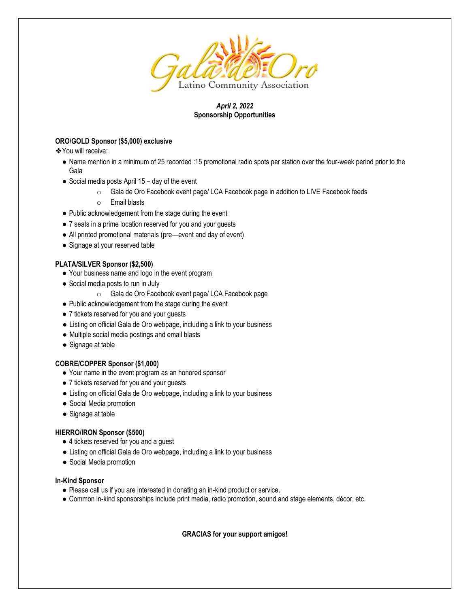

# *April 2, 2022*  **Sponsorship Opportunities**

# **ORO/GOLD Sponsor (\$5,000) exclusive**

❖You will receive:

- Name mention in a minimum of 25 recorded :15 promotional radio spots per station over the four-week period prior to the Gala
- Social media posts April 15 day of the event
	- o Gala de Oro Facebook event page/ LCA Facebook page in addition to LIVE Facebook feeds
	- o Email blasts
- Public acknowledgement from the stage during the event
- 7 seats in a prime location reserved for you and your guests
- All printed promotional materials (pre—event and day of event)
- Signage at your reserved table

## **PLATA/SILVER Sponsor (\$2,500)**

- Your business name and logo in the event program
- Social media posts to run in July
	- o Gala de Oro Facebook event page/ LCA Facebook page
- Public acknowledgement from the stage during the event
- 7 tickets reserved for you and your guests
- Listing on official Gala de Oro webpage, including a link to your business
- Multiple social media postings and email blasts
- Signage at table

## **COBRE/COPPER Sponsor (\$1,000)**

- Your name in the event program as an honored sponsor
- 7 tickets reserved for you and your guests
- Listing on official Gala de Oro webpage, including a link to your business
- Social Media promotion
- Signage at table

## **HIERRO/IRON Sponsor (\$500)**

- 4 tickets reserved for you and a guest
- Listing on official Gala de Oro webpage, including a link to your business
- Social Media promotion

## **In-Kind Sponsor**

- Please call us if you are interested in donating an in-kind product or service.
- Common in-kind sponsorships include print media, radio promotion, sound and stage elements, décor, etc.

**GRACIAS for your support amigos!**